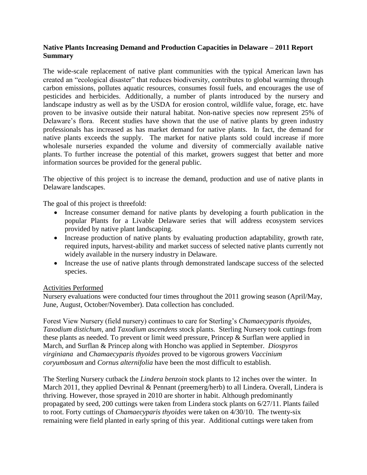## **Native Plants Increasing Demand and Production Capacities in Delaware – 2011 Report Summary**

The wide-scale replacement of native plant communities with the typical American lawn has created an "ecological disaster" that reduces biodiversity, contributes to global warming through carbon emissions, pollutes aquatic resources, consumes fossil fuels, and encourages the use of pesticides and herbicides. Additionally, a number of plants introduced by the nursery and landscape industry as well as by the USDA for erosion control, wildlife value, forage, etc. have proven to be invasive outside their natural habitat. Non-native species now represent 25% of Delaware's flora. Recent studies have shown that the use of native plants by green industry professionals has increased as has market demand for native plants. In fact, the demand for native plants exceeds the supply. The market for native plants sold could increase if more wholesale nurseries expanded the volume and diversity of commercially available native plants. To further increase the potential of this market, growers suggest that better and more information sources be provided for the general public.

The objective of this project is to increase the demand, production and use of native plants in Delaware landscapes.

The goal of this project is threefold:

- Increase consumer demand for native plants by developing a fourth publication in the popular Plants for a Livable Delaware series that will address ecosystem services provided by native plant landscaping.
- Increase production of native plants by evaluating production adaptability, growth rate, required inputs, harvest-ability and market success of selected native plants currently not widely available in the nursery industry in Delaware.
- Increase the use of native plants through demonstrated landscape success of the selected species.

## Activities Performed

Nursery evaluations were conducted four times throughout the 2011 growing season (April/May, June, August, October/November). Data collection has concluded.

Forest View Nursery (field nursery) continues to care for Sterling's *Chamaecyparis thyoides, Taxodium distichum*, and *Taxodium ascendens* stock plants. Sterling Nursery took cuttings from these plants as needed. To prevent or limit weed pressure, Princep & Surflan were applied in March, and Surflan & Princep along with Honcho was applied in September. *Diospyros virginiana* and *Chamaecyparis thyoides* proved to be vigorous growers *Vaccinium coryumbosum* and *Cornus alternifolia* have been the most difficult to establish.

The Sterling Nursery cutback the *Lindera benzoin* stock plants to 12 inches over the winter. In March 2011, they applied Devrinal & Pennant (preemerg/herb) to all Lindera. Overall, Lindera is thriving. However, those sprayed in 2010 are shorter in habit. Although predominantly propagated by seed, 200 cuttings were taken from Lindera stock plants on 6/27/11. Plants failed to root. Forty cuttings of *Chamaecyparis thyoides* were taken on 4/30/10. The twenty-six remaining were field planted in early spring of this year. Additional cuttings were taken from